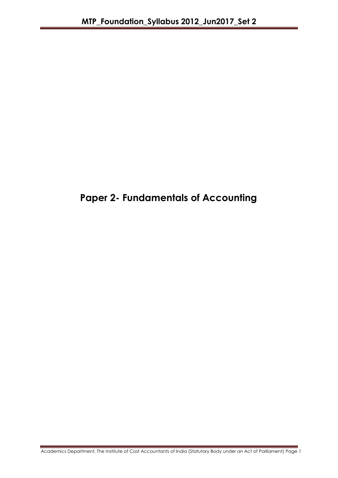# **Paper 2- Fundamentals of Accounting**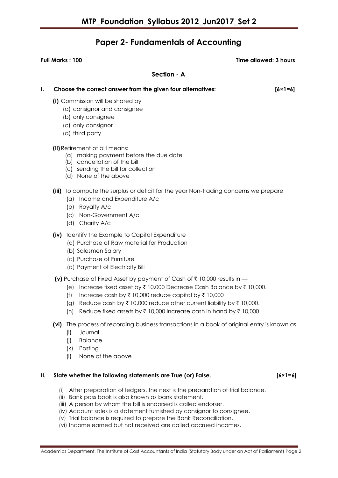## **Paper 2- Fundamentals of Accounting**

**Full Marks : 100 Time allowed: 3 hours**

**Section - A**

| I. | Choose the correct answer from the given four alternatives:<br>$[6 \times 1 = 6]$                                                                                                                                                                                                                                                                                                            |  |
|----|----------------------------------------------------------------------------------------------------------------------------------------------------------------------------------------------------------------------------------------------------------------------------------------------------------------------------------------------------------------------------------------------|--|
|    | (i) Commission will be shared by<br>(a) consignor and consignee<br>(b) only consignee<br>(c) only consignor<br>(d) third party                                                                                                                                                                                                                                                               |  |
|    | (ii) Retirement of bill means:<br>(a) making payment before the due date<br>(b) cancellation of the bill<br>(c) sending the bill for collection<br>(d) None of the above                                                                                                                                                                                                                     |  |
|    | (iii) To compute the surplus or deficit for the year Non-trading concerns we prepare<br>(a) Income and Expenditure A/c<br>(b) Royalty A/c<br>(c) Non-Government A/c<br>(d) Charity A/c                                                                                                                                                                                                       |  |
|    | (iv) Identify the Example to Capital Expenditure<br>(a) Purchase of Raw material for Production<br>(b) Salesmen Salary<br>(c) Purchase of Furniture<br>(d) Payment of Electricity Bill                                                                                                                                                                                                       |  |
|    | (v) Purchase of Fixed Asset by payment of Cash of $\bar{\tau}$ 10,000 results in $-$<br>Increase fixed asset by ₹ 10,000 Decrease Cash Balance by ₹ 10,000.<br>le)<br>(f)<br>Increase cash by ₹ 10,000 reduce capital by ₹ 10,000<br>Reduce cash by ₹ 10,000 reduce other current liability by ₹ 10,000.<br>(g)<br>Reduce fixed assets by ₹ 10,000 increase cash in hand by ₹ 10,000.<br>(h) |  |
|    |                                                                                                                                                                                                                                                                                                                                                                                              |  |

**(vi)** The process of recording business transactions in a book of original entry is known as

- (i) Journal
- (j) Balance
- (k) Posting
- (l) None of the above

### **II. State whether the following statements are True (or) False. [6×1=6]**

- (i) After preparation of ledgers, the next is the preparation of trial balance.
- (ii) Bank pass book is also known as bank statement.
- (iii) A person by whom the bill is endorsed is called endorser.
- (iv) Account sales is a statement furnished by consignor to consignee.
- (v) Trial balance is required to prepare the Bank Reconciliation.
- (vi) Income earned but not received are called accrued incomes.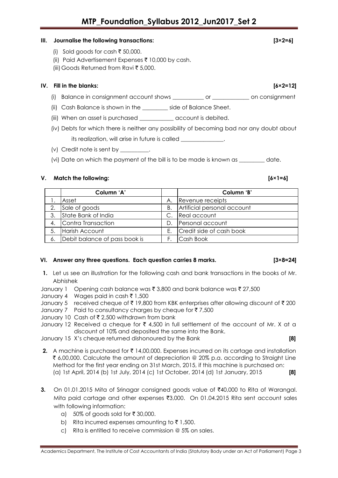### **III. Journalise the following transactions: [3×2=6]**

- (i) Sold goods for cash  $\bar{\tau}$  50,000.
- (ii) Paid Advertisement Expenses  $\bar{\tau}$  10,000 by cash.
- (iii) Goods Returned from Ravi  $\bar{\tau}$  5,000.

### **IV. Fill in the blanks: [6×2=12]**

- (i) Balance in consignment account shows \_\_\_\_\_\_\_\_\_\_\_ or \_\_\_\_\_\_\_\_\_\_\_\_\_ on consignment
- (ii) Cash Balance is shown in the \_\_\_\_\_\_\_\_\_ side of Balance Sheet.
- (iii) When an asset is purchased \_\_\_\_\_\_\_\_\_\_\_ account is debited.
- (iv) Debts for which there is neither any possibility of becoming bad nor any doubt about its realization, will arise in future is called \_\_\_\_\_\_\_\_\_\_\_\_\_\_\_\_\_\_\_\_\_\_\_\_\_\_\_\_\_\_\_\_
- (v) Credit note is sent by
- (vi) Date on which the payment of the bill is to be made is known as \_\_\_\_\_\_\_\_\_ date.

### **V. Match the following: [6×1=6]**

|    | Column 'A'                    |    | Column 'B'                  |
|----|-------------------------------|----|-----------------------------|
|    | Asset                         | А. | Revenue receipts            |
| 2. | Sale of goods                 | В. | Artificial personal account |
| 3. | State Bank of India           |    | Real account                |
|    | 4. Contra Transaction         | D. | Personal account            |
| 5. | Harish Account                | F. | Credit side of cash book    |
| 6. | Debit balance of pass book is |    | Cash Book                   |

### **VI. Answer any three questions. Each question carries 8 marks. [3×8=24]**

**1.** Let us see an illustration for the following cash and bank transactions in the books of Mr. Abhishek

January 1 Opening cash balance was  $\bar{\tau}$  3,800 and bank balance was  $\bar{\tau}$  27,500

- January 4 Wages paid in cash  $\bar{\tau}$  1,500
- January 5 received cheque of  $\bar{\tau}$  19,800 from KBK enterprises after allowing discount of  $\bar{\tau}$  200
- January 7 Paid to consultancy charges by cheque for  $\bar{\tau}$  7,500

January 10 Cash of ₹ 2,500 withdrawn from bank

January 12 Received a cheque for  $\bar{\tau}$  4,500 in full settlement of the account of Mr. X at a discount of 10% and deposited the same into the Bank.

January 15 X's cheque returned dishonoured by the Bank **[8]**

- **2.** A machine is purchased for  $\bar{\tau}$  14,00,000. Expenses incurred on its cartage and installation ₹ 6,00,000. Calculate the amount of depreciation @ 20% p.a. according to Straight Line Method for the first year ending on 31st March, 2015, if this machine is purchased on: (a) 1st April, 2014 (b) 1st July, 2014 (c) 1st October, 2014 (d) 1st January, 2015 **[8]**
- **3.** On 01.01.2015 Mita of Srinagar consigned goods value of ₹40,000 to Rita of Warangal. Mita paid cartage and other expenses  $\text{\textdegree{3}},000.$  On 01.04.2015 Rita sent account sales with following information:
	- a) 50% of goods sold for  $\bar{\tau}$  30,000.
	- b) Rita incurred expenses amounting to  $\bar{\tau}$  1,500.
	- c) Rita is entitled to receive commission @ 5% on sales.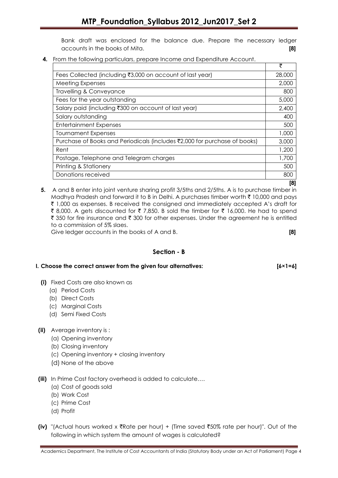Bank draft was enclosed for the balance due. Prepare the necessary ledger accounts in the books of Mita. **[8]**

**4.** From the following particulars, prepare Income and Expenditure Account.

|                                                                           | ₹      |
|---------------------------------------------------------------------------|--------|
| Fees Collected (including ₹3,000 on account of last year)                 | 28,000 |
| <b>Meeting Expenses</b>                                                   | 2,000  |
| Travelling & Conveyance                                                   | 800    |
| Fees for the year outstanding                                             | 5,000  |
| Salary paid (including ₹300 on account of last year)                      | 2,400  |
| Salary outstanding                                                        | 400    |
| <b>Entertainment Expenses</b>                                             | 500    |
| <b>Tournament Expenses</b>                                                | 1,000  |
| Purchase of Books and Periodicals (includes ₹2,000 for purchase of books) | 3,000  |
| Rent                                                                      | 1,200  |
| Postage, Telephone and Telegram charges                                   | 1,700  |
| Printing & Stationery                                                     | 500    |
| Donations received                                                        | 800    |

 **[8]**

**5.** A and B enter into joint venture sharing profit 3/5ths and 2/5ths. A is to purchase timber in Madhya Pradesh and forward it to B in Delhi. A purchases timber worth  $\bar{\tau}$  10,000 and pays  $\bar{\tau}$  1,000 as expenses. B received the consigned and immediately accepted A's draft for ₹ 8,000. A gets discounted for ₹ 7,850. B sold the timber for ₹ 16,000. He had to spend ₹ 350 for fire insurance and ₹ 300 for other expenses. Under the agreement he is entitled to a commission of 5% slaes.

Give ledger accounts in the books of A and B. **[8]**

### **Section - B**

### **I. Choose the correct answer from the given four alternatives: [6×1=6]**

- **(i)** Fixed Costs are also known as
	- (a) Period Costs
	- (b) Direct Costs
	- (c) Marginal Costs
	- (d) Semi Fixed Costs

### **(ii)** Average inventory is :

- (a) Opening inventory
- (b) Closing inventory
- (c) Opening inventory + closing inventory
- (d) None of the above
- **(iii)** In Prime Cost factory overhead is added to calculate….
	- (a) Cost of goods sold
	- (b) Work Cost
	- (c) Prime Cost
	- (d) Profit
- **(iv)** "(Actual hours worked x  $\bar{x}$ Rate per hour) + (Time saved  $\bar{x}$ 50% rate per hour)". Out of the following in which system the amount of wages is calculated?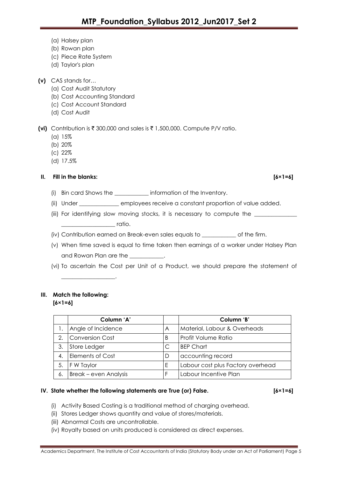- (a) Halsey plan
- (b) Rowan plan
- (c) Piece Rate System
- (d) Taylor's plan
- **(v)** CAS stands for…
	- (a) Cost Audit Statutory
	- (b) Cost Accounting Standard
	- (c) Cost Account Standard
	- (d) Cost Audit

**(vi)** Contribution is ₹ 300,000 and sales is ₹ 1,500,000. Compute P/V ratio.

- (a) 15%
- (b) 20%
- (c) 22%
- (d) 17.5%

### **II. Fill in the blanks: [6×1=6]**

- (i) Bin card Shows the \_\_\_\_\_\_\_\_\_\_\_\_ information of the Inventory.
- (ii) Under \_\_\_\_\_\_\_\_\_\_\_\_\_\_ employees receive a constant proportion of value added.
- (iii) For identifying slow moving stocks, it is necessary to compute the \_\_\_\_\_\_\_  $\sqrt{a}$  ratio.
- (iv) Contribution earned on Break-even sales equals to \_\_\_\_\_\_\_\_\_\_\_\_ of the firm.
- (v) When time saved is equal to time taken then earnings of a worker under Halsey Plan and Rowan Plan are the \_\_\_\_\_\_\_\_\_\_.
- (vi) To ascertain the Cost per Unit of a Product, we should prepare the statement of

# **III. Match the following:**

 $\overline{\phantom{a}}$  , and the set of the set of the set of the set of the set of the set of the set of the set of the set of the set of the set of the set of the set of the set of the set of the set of the set of the set of the s

**[6×1=6]**

|    | Column 'A'                   |   | Column 'B'                        |
|----|------------------------------|---|-----------------------------------|
|    | Angle of Incidence           | A | Material, Labour & Overheads      |
| 2. | Conversion Cost              | B | <b>Profit Volume Ratio</b>        |
| 3. | Store Ledger                 |   | <b>BEP Chart</b>                  |
| 4. | <b>Elements of Cost</b>      | D | accounting record                 |
| 5. | <b>F</b> W Taylor            | E | Labour cost plus Factory overhead |
| 6. | <b>Break – even Analysis</b> |   | Labour Incentive Plan             |

### **IV. State whether the following statements are True (or) False. [6×1=6]**

- (i) Activity Based Costing is a traditional method of charging overhead.
- (ii) Stores Ledger shows quantity and value of stores/materials.
- (iii) Abnormal Costs are uncontrollable.
- (iv) Royalty based on units produced is considered as direct expenses.